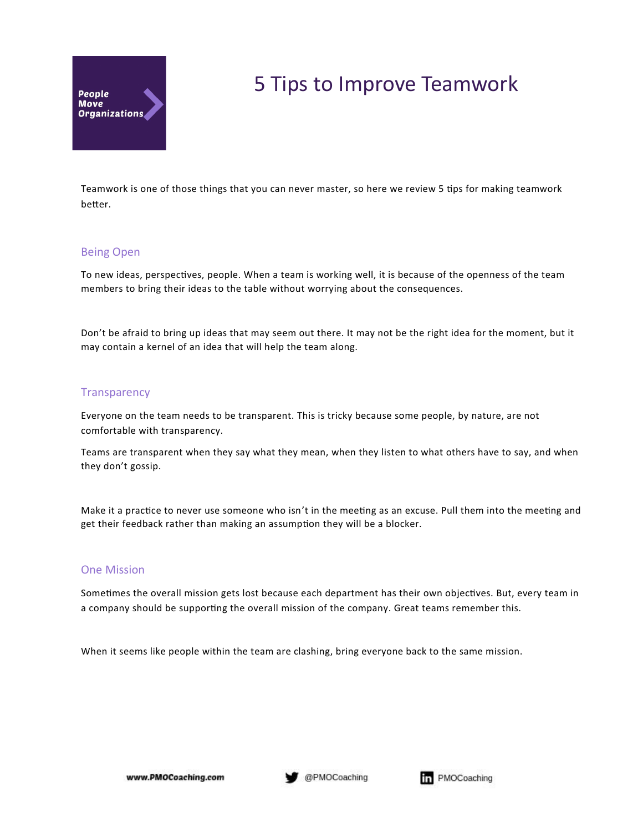

# 5 Tips to Improve Teamwork

Teamwork is one of those things that you can never master, so here we review 5 tips for making teamwork better.

# Being Open

To new ideas, perspectives, people. When a team is working well, it is because of the openness of the team members to bring their ideas to the table without worrying about the consequences.

Don't be afraid to bring up ideas that may seem out there. It may not be the right idea for the moment, but it may contain a kernel of an idea that will help the team along.

### **Transparency**

Everyone on the team needs to be transparent. This is tricky because some people, by nature, are not comfortable with transparency.

Teams are transparent when they say what they mean, when they listen to what others have to say, and when they don't gossip.

Make it a practice to never use someone who isn't in the meeting as an excuse. Pull them into the meeting and get their feedback rather than making an assumption they will be a blocker.

# One Mission

Sometimes the overall mission gets lost because each department has their own objectives. But, every team in a company should be supporting the overall mission of the company. Great teams remember this.

When it seems like people within the team are clashing, bring everyone back to the same mission.

www.PMOCoaching.com